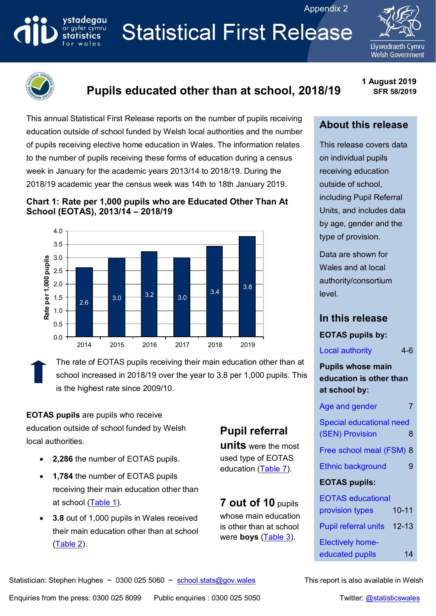Appendix 2

# **Statistical First Release**





ystadegau

ar gyfer cymru **statistics** 

# **Pupils educated other than at school, 2018/19**

**1 August 2019 SFR 58/2019**

This annual Statistical First Release reports on the number of pupils receiving education outside of school funded by Welsh local authorities and the number of pupils receiving elective home education in Wales. The information relates to the number of pupils receiving these forms of education during a census week in January for the academic years 2013/14 to 2018/19. During the 2018/19 academic year the census week was 14th to 18th January 2019.





## **About this release**

This release covers data on individual pupils receiving education outside of school, including Pupil Referral Units, and includes data by age, gender and the type of provision.

Data are shown for Wales and at local authority/consortium level.

## **In this release**

#### **EOTAS pupils by:**

Local authority 4-6

**Pupils whose main education is other than at school by:**

| Age and gender                           |   |
|------------------------------------------|---|
| <b>Special educational need</b>          |   |
| (SEN) Provision                          | 8 |
| Free school meal (FSM) 8                 |   |
| <b>Ethnic background</b>                 | 9 |
| <b>EOTAS pupils:</b>                     |   |
|                                          |   |
| <b>EOTAS educational</b>                 |   |
| $10 - 11$<br>provision types             |   |
| $12 - 13$<br><b>Pupil referral units</b> |   |

[Electively home](#page-13-0)[educated pupils](#page-13-0) 14

The rate of EOTAS pupils receiving their main education other than at school increased in 2018/19 over the year to 3.8 per 1,000 pupils. This is the highest rate since 2009/10.

**EOTAS pupils** are pupils who receive education outside of school funded by Welsh local authorities.

- **2,286** the number of EOTAS pupils.
- **1,784** the number of EOTAS pupils receiving their main education other than at school (Table 1).
- **3.8** out of 1,000 pupils in Wales received their main education other than at school [\(Table 2\)](#page-5-0).

# **Pupil referral**

**units** were the most used type of EOTAS education [\(Table 7\)](#page-9-0).

**7 out of 10** pupils whose main education is other than at school were **boys** [\(Table 3\)](#page-6-0).

#### Statistician: Stephen Hughes ~ 0300 025 5060 ~ [school.stats@gov.wales](mailto:school.stats@gov.wales) This report is also available in Welsh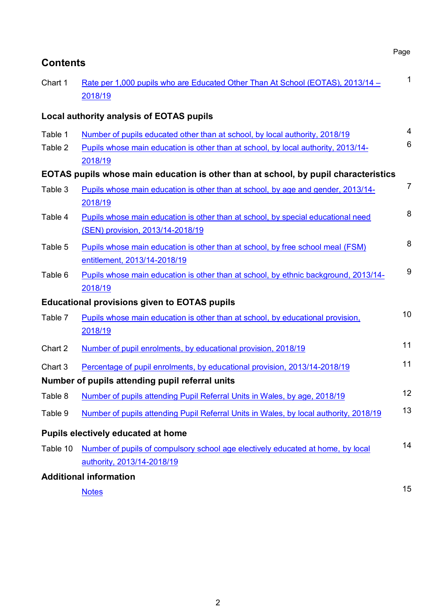| <b>Contents</b>    |                                                                                                                                                                             | Page           |
|--------------------|-----------------------------------------------------------------------------------------------------------------------------------------------------------------------------|----------------|
| Chart 1            | Rate per 1,000 pupils who are Educated Other Than At School (EOTAS), 2013/14 -<br>2018/19                                                                                   | $\mathbf{1}$   |
|                    | <b>Local authority analysis of EOTAS pupils</b>                                                                                                                             |                |
| Table 1<br>Table 2 | Number of pupils educated other than at school, by local authority, 2018/19<br>Pupils whose main education is other than at school, by local authority, 2013/14-<br>2018/19 | 4<br>6         |
|                    | EOTAS pupils whose main education is other than at school, by pupil characteristics                                                                                         |                |
| Table 3            | Pupils whose main education is other than at school, by age and gender, 2013/14-<br>2018/19                                                                                 | $\overline{7}$ |
| Table 4            | Pupils whose main education is other than at school, by special educational need<br>(SEN) provision, 2013/14-2018/19                                                        | 8              |
| Table 5            | Pupils whose main education is other than at school, by free school meal (FSM)<br>entitlement, 2013/14-2018/19                                                              | 8              |
| Table 6            | Pupils whose main education is other than at school, by ethnic background, 2013/14-<br>2018/19                                                                              | 9              |
|                    | <b>Educational provisions given to EOTAS pupils</b>                                                                                                                         |                |
| Table 7            | Pupils whose main education is other than at school, by educational provision,<br>2018/19                                                                                   | 10             |
| Chart 2            | Number of pupil enrolments, by educational provision, 2018/19                                                                                                               | 11             |
| Chart 3            | Percentage of pupil enrolments, by educational provision, 2013/14-2018/19<br>Number of pupils attending pupil referral units                                                | 11             |
| Table 8            | Number of pupils attending Pupil Referral Units in Wales, by age, 2018/19                                                                                                   | 12             |
| Table 9            | Number of pupils attending Pupil Referral Units in Wales, by local authority, 2018/19                                                                                       | 13             |
|                    | Pupils electively educated at home                                                                                                                                          |                |
| Table 10           | Number of pupils of compulsory school age electively educated at home, by local<br>authority, 2013/14-2018/19                                                               | 14             |
|                    | <b>Additional information</b>                                                                                                                                               |                |
|                    | <b>Notes</b>                                                                                                                                                                | 15             |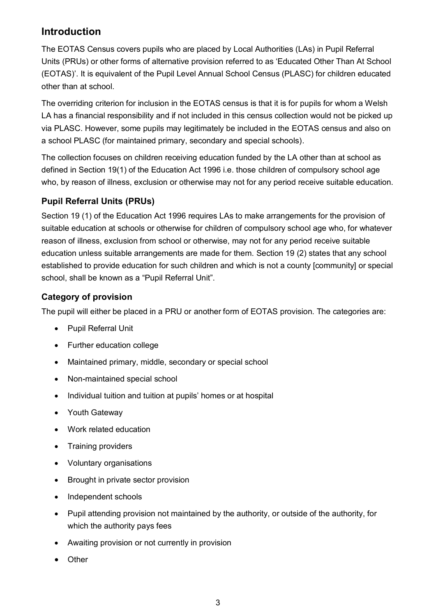## **Introduction**

The EOTAS Census covers pupils who are placed by Local Authorities (LAs) in Pupil Referral Units (PRUs) or other forms of alternative provision referred to as 'Educated Other Than At School (EOTAS)'. It is equivalent of the Pupil Level Annual School Census (PLASC) for children educated other than at school.

The overriding criterion for inclusion in the EOTAS census is that it is for pupils for whom a Welsh LA has a financial responsibility and if not included in this census collection would not be picked up via PLASC. However, some pupils may legitimately be included in the EOTAS census and also on a school PLASC (for maintained primary, secondary and special schools).

The collection focuses on children receiving education funded by the LA other than at school as defined in Section 19(1) of the Education Act 1996 i.e. those children of compulsory school age who, by reason of illness, exclusion or otherwise may not for any period receive suitable education.

## **Pupil Referral Units (PRUs)**

Section 19 (1) of the Education Act 1996 requires LAs to make arrangements for the provision of suitable education at schools or otherwise for children of compulsory school age who, for whatever reason of illness, exclusion from school or otherwise, may not for any period receive suitable education unless suitable arrangements are made for them. Section 19 (2) states that any school established to provide education for such children and which is not a county [community] or special school, shall be known as a "Pupil Referral Unit".

## **Category of provision**

The pupil will either be placed in a PRU or another form of EOTAS provision. The categories are:

- Pupil Referral Unit
- Further education college
- Maintained primary, middle, secondary or special school
- Non-maintained special school
- Individual tuition and tuition at pupils' homes or at hospital
- Youth Gateway
- Work related education
- Training providers
- Voluntary organisations
- Brought in private sector provision
- Independent schools
- Pupil attending provision not maintained by the authority, or outside of the authority, for which the authority pays fees
- Awaiting provision or not currently in provision
- **Other**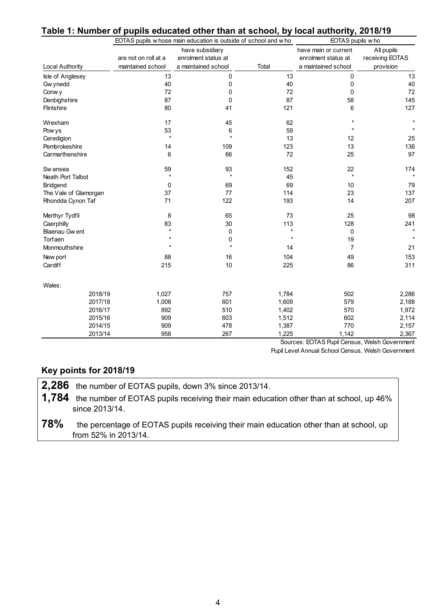| Table 1: Number of pupils educated other than at school, by local authority, 2018/19 |  |  |  |
|--------------------------------------------------------------------------------------|--|--|--|
|                                                                                      |  |  |  |

|                       |                                           | EOTAS pupils w hose main education is outside of school and w ho |         | EOTAS pupils w ho                                                  |                                            |  |  |
|-----------------------|-------------------------------------------|------------------------------------------------------------------|---------|--------------------------------------------------------------------|--------------------------------------------|--|--|
| Local Authority       | are not on roll at a<br>maintained school | have subsidiary<br>enrolment status at<br>a maintained school    | Total   | have main or current<br>enrolment status at<br>a maintained school | All pupils<br>receiving EOTAS<br>provision |  |  |
| Isle of Anglesey      | 13                                        | 0                                                                | 13      | 0                                                                  | 13                                         |  |  |
| Gw ynedd              | 40                                        | 0                                                                | 40      | 0                                                                  | 40                                         |  |  |
| Conw y                | 72                                        | 0                                                                | 72      | 0                                                                  | 72                                         |  |  |
| Denbighshire          | 87                                        | 0                                                                | 87      | 58                                                                 | 145                                        |  |  |
| <b>Flintshire</b>     | 80                                        | 41                                                               | 121     | 6                                                                  | 127                                        |  |  |
| Wrexham               | 17                                        | 45                                                               | 62      |                                                                    |                                            |  |  |
| Pow ys                | 53                                        | 6                                                                | 59      |                                                                    |                                            |  |  |
| Ceredigion            | $\star$                                   | $\star$                                                          | 13      | 12                                                                 | 25                                         |  |  |
| Pembrokeshire         | 14                                        | 109                                                              | 123     | 13                                                                 | 136                                        |  |  |
| Carmarthenshire       | 6                                         | 66                                                               | 72      | 25                                                                 | 97                                         |  |  |
| Sw ansea              | 59                                        | 93                                                               | 152     | 22                                                                 | 174                                        |  |  |
| Neath Port Talbot     | $\star$                                   | $\star$                                                          | 45      | $\star$                                                            | $\star$                                    |  |  |
| <b>Bridgend</b>       | $\mathbf 0$                               | 69                                                               | 69      | 10                                                                 | 79                                         |  |  |
| The Vale of Glamorgan | 37                                        | 77                                                               | 114     | 23                                                                 | 137                                        |  |  |
| Rhondda Cynon Taf     | 71                                        | 122                                                              | 193     | 14                                                                 | 207                                        |  |  |
| Merthyr Tydfil        | 8                                         | 65                                                               | 73      | 25                                                                 | 98                                         |  |  |
| Caerphilly            | 83                                        | 30                                                               | 113     | 128                                                                | 241                                        |  |  |
| Blaenau Gw ent        | $\star$                                   | 0                                                                | $\star$ | 0                                                                  | $\star$                                    |  |  |
| Torfaen               |                                           | 0                                                                | $\star$ | 19                                                                 | $\star$                                    |  |  |
| Monmouthshire         |                                           |                                                                  | 14      | 7                                                                  | 21                                         |  |  |
| New port              | 88                                        | 16                                                               | 104     | 49                                                                 | 153                                        |  |  |
| Cardiff               | 215                                       | 10                                                               | 225     | 86                                                                 | 311                                        |  |  |
| Wales:                |                                           |                                                                  |         |                                                                    |                                            |  |  |
| 2018/19               | 1,027                                     | 757                                                              | 1,784   | 502                                                                | 2,286                                      |  |  |
| 2017/18               | 1,008                                     | 601                                                              | 1,609   | 579                                                                | 2,188                                      |  |  |
| 2016/17               | 892                                       | 510                                                              | 1,402   | 570                                                                | 1,972                                      |  |  |
| 2015/16               | 909                                       | 603                                                              | 1,512   | 602                                                                | 2,114                                      |  |  |
| 2014/15               | 909                                       | 478                                                              | 1,387   | 770                                                                | 2,157                                      |  |  |
| 2013/14               | 958                                       | 267                                                              | 1,225   | 1,142                                                              | 2,367                                      |  |  |

Sources: EOTAS Pupil Census, Welsh Government Pupil Level Annual School Census, Welsh Government

## **Key points for 2018/19**

**2,286** the number of EOTAS pupils, down 3% since 2013/14.

**1,784** the number of EOTAS pupils receiving their main education other than at school, up 46% since 2013/14.

**78%** the percentage of EOTAS pupils receiving their main education other than at school, up from 52% in 2013/14.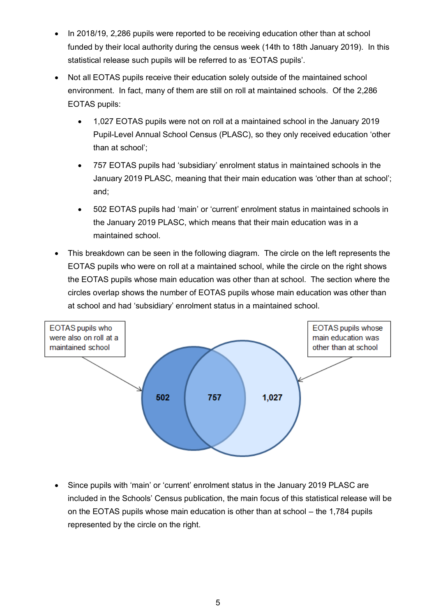- In 2018/19, 2,286 pupils were reported to be receiving education other than at school funded by their local authority during the census week (14th to 18th January 2019). In this statistical release such pupils will be referred to as 'EOTAS pupils'.
- Not all EOTAS pupils receive their education solely outside of the maintained school environment. In fact, many of them are still on roll at maintained schools. Of the 2,286 EOTAS pupils:
	- 1,027 EOTAS pupils were not on roll at a maintained school in the January 2019 Pupil-Level Annual School Census (PLASC), so they only received education 'other than at school';
	- 757 EOTAS pupils had 'subsidiary' enrolment status in maintained schools in the January 2019 PLASC, meaning that their main education was 'other than at school'; and;
	- 502 EOTAS pupils had 'main' or 'current' enrolment status in maintained schools in the January 2019 PLASC, which means that their main education was in a maintained school.
- This breakdown can be seen in the following diagram. The circle on the left represents the EOTAS pupils who were on roll at a maintained school, while the circle on the right shows the EOTAS pupils whose main education was other than at school. The section where the circles overlap shows the number of EOTAS pupils whose main education was other than at school and had 'subsidiary' enrolment status in a maintained school.



 Since pupils with 'main' or 'current' enrolment status in the January 2019 PLASC are included in the Schools' Census publication, the main focus of this statistical release will be on the EOTAS pupils whose main education is other than at school – the 1,784 pupils represented by the circle on the right.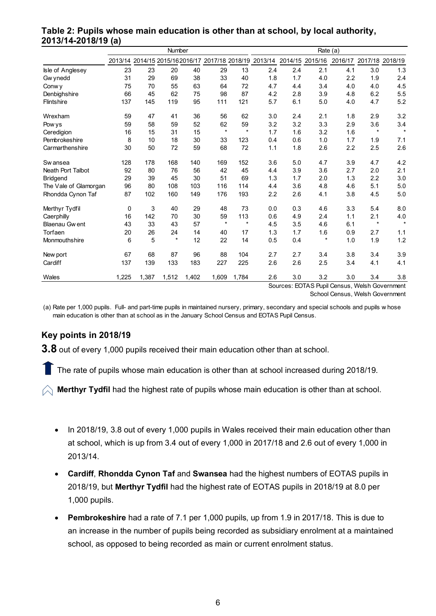|                          |          |       | Number  |       |         |         |                                                                        |     | Rate (a)                                   |         |                                |                 |
|--------------------------|----------|-------|---------|-------|---------|---------|------------------------------------------------------------------------|-----|--------------------------------------------|---------|--------------------------------|-----------------|
|                          |          |       |         |       |         |         | 2013/14 2014/15 2015/162016/17 2017/18 2018/19 2013/14 2014/15 2015/16 |     |                                            | 2016/17 |                                | 2017/18 2018/19 |
| Isle of Anglesey         | 23       | 23    | 20      | 40    | 29      | 13      | 2.4                                                                    | 2.4 | 2.1                                        | 4.1     | 3.0                            | 1.3             |
| Gw ynedd                 | 31       | 29    | 69      | 38    | 33      | 40      | 1.8                                                                    | 1.7 | 4.0                                        | 2.2     | 1.9                            | 2.4             |
| Conw y                   | 75       | 70    | 55      | 63    | 64      | 72      | 4.7                                                                    | 4.4 | 3.4                                        | 4.0     | 4.0                            | 4.5             |
| Denbighshire             | 66       | 45    | 62      | 75    | 98      | 87      | 4.2                                                                    | 2.8 | 3.9                                        | 4.8     | 6.2                            | 5.5             |
| <b>Flintshire</b>        | 137      | 145   | 119     | 95    | 111     | 121     | 5.7                                                                    | 6.1 | 5.0                                        | 4.0     | 4.7                            | 5.2             |
| Wrexham                  | 59       | 47    | 41      | 36    | 56      | 62      | 3.0                                                                    | 2.4 | 2.1                                        | 1.8     | 2.9                            | 3.2             |
| Pow ys                   | 59       | 58    | 59      | 52    | 62      | 59      | 3.2                                                                    | 3.2 | 3.3                                        | 2.9     | 3.6                            | 3.4             |
| Ceredigion               | 16       | 15    | 31      | 15    | $\star$ | $\star$ | 1.7                                                                    | 1.6 | 3.2                                        | 1.6     | $\star$                        | $\star$         |
| Pembrokeshire            | 8        | 10    | 18      | 30    | 33      | 123     | 0.4                                                                    | 0.6 | 1.0                                        | 1.7     | 1.9                            | 7.1             |
| Carmarthenshire          | 30       | 50    | 72      | 59    | 68      | 72      | 1.1                                                                    | 1.8 | 2.6                                        | 2.2     | 2.5                            | 2.6             |
| Sw ansea                 | 128      | 178   | 168     | 140   | 169     | 152     | 3.6                                                                    | 5.0 | 4.7                                        | 3.9     | 4.7                            | 4.2             |
| <b>Neath Port Talbot</b> | 92       | 80    | 76      | 56    | 42      | 45      | 4.4                                                                    | 3.9 | 3.6                                        | 2.7     | 2.0                            | 2.1             |
| Bridgend                 | 29       | 39    | 45      | 30    | 51      | 69      | 1.3                                                                    | 1.7 | 2.0                                        | 1.3     | 2.2                            | 3.0             |
| The Vale of Glamorgan    | 96       | 80    | 108     | 103   | 116     | 114     | 4.4                                                                    | 3.6 | 4.8                                        | 4.6     | 5.1                            | 5.0             |
| Rhondda Cynon Taf        | 87       | 102   | 160     | 149   | 176     | 193     | 2.2                                                                    | 2.6 | 4.1                                        | 3.8     | 4.5                            | 5.0             |
| Merthyr Tydfil           | $\Omega$ | 3     | 40      | 29    | 48      | 73      | 0.0                                                                    | 0.3 | 4.6                                        | 3.3     | 5.4                            | 8.0             |
| Caerphilly               | 16       | 142   | 70      | 30    | 59      | 113     | 0.6                                                                    | 4.9 | 2.4                                        | 1.1     | 2.1                            | $4.0$           |
| <b>Blaenau Gwent</b>     | 43       | 33    | 43      | 57    | $\star$ | $\star$ | 4.5                                                                    | 3.5 | 4.6                                        | 6.1     | $\star$                        | $\star$         |
| Torfaen                  | 20       | 26    | 24      | 14    | 40      | 17      | 1.3                                                                    | 1.7 | 1.6                                        | 0.9     | 2.7                            | 1.1             |
| Monmouthshire            | 6        | 5     | $\star$ | 12    | 22      | 14      | 0.5                                                                    | 0.4 | $\star$                                    | 1.0     | 1.9                            | 1.2             |
| New port                 | 67       | 68    | 87      | 96    | 88      | 104     | 2.7                                                                    | 2.7 | 3.4                                        | 3.8     | 3.4                            | 3.9             |
| Cardiff                  | 137      | 139   | 133     | 183   | 227     | 225     | 2.6                                                                    | 2.6 | 2.5                                        | 3.4     | 4.1                            | 4.1             |
| Wales                    | 1,225    | 1,387 | 1,512   | 1,402 | 1,609   | 1,784   | 2.6<br>$\sim$                                                          | 3.0 | 3.2<br>$T\Omega T A \Omega R \sim 10^{-4}$ | 3.0     | 3.4<br>$101 - 1 - 1$<br>$\sim$ | 3.8             |

## <span id="page-5-0"></span>**Table 2: Pupils whose main education is other than at school, by local authority, 2013/14-2018/19 (a)**

Sources: EOTAS Pupil Census, Welsh Government School Census, Welsh Government

(a) Rate per 1,000 pupils. Full- and part-time pupils in maintained nursery, primary, secondary and special schools and pupils w hose main education is other than at school as in the January School Census and EOTAS Pupil Census.

## **Key points in 2018/19**

**3.8** out of every 1,000 pupils received their main education other than at school.

The rate of pupils whose main education is other than at school increased during 2018/19.

 $\bigtriangleup$  Merthyr Tydfil had the highest rate of pupils whose main education is other than at school.

- In 2018/19, 3.8 out of every 1,000 pupils in Wales received their main education other than at school, which is up from 3.4 out of every 1,000 in 2017/18 and 2.6 out of every 1,000 in 2013/14.
- **Cardiff**, **Rhondda Cynon Taf** and **Swansea** had the highest numbers of EOTAS pupils in 2018/19, but **Merthyr Tydfil** had the highest rate of EOTAS pupils in 2018/19 at 8.0 per 1,000 pupils.
- **Pembrokeshire** had a rate of 7.1 per 1,000 pupils, up from 1.9 in 2017/18. This is due to an increase in the number of pupils being recorded as subsidiary enrolment at a maintained school, as opposed to being recorded as main or current enrolment status.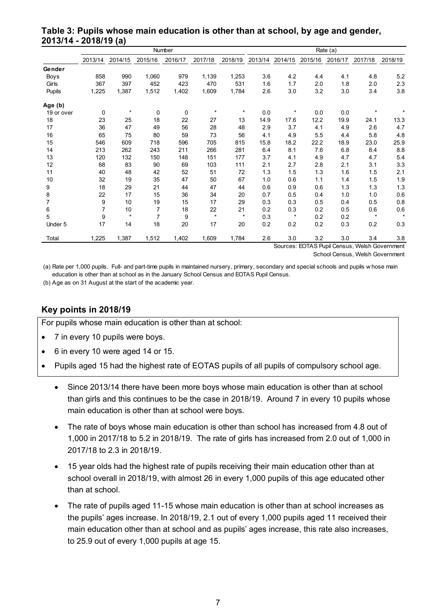|             |                |         |                | Number  |         |         |         |          | Rate (a) |         |         |         |
|-------------|----------------|---------|----------------|---------|---------|---------|---------|----------|----------|---------|---------|---------|
|             | 2013/14        | 2014/15 | 2015/16        | 2016/17 | 2017/18 | 2018/19 | 2013/14 | 2014/15  | 2015/16  | 2016/17 | 2017/18 | 2018/19 |
| Gender      |                |         |                |         |         |         |         |          |          |         |         |         |
| <b>Boys</b> | 858            | 990     | 1,060          | 979     | 1,139   | 1,253   | 3.6     | 4.2      | 4.4      | 4.1     | 4.8     | 5.2     |
| Girls       | 367            | 397     | 452            | 423     | 470     | 531     | 1.6     | 1.7      | 2.0      | 1.8     | 2.0     | 2.3     |
| Pupils      | 1,225          | 1,387   | 1,512          | 1,402   | 1,609   | 1,784   | 2.6     | 3.0      | 3.2      | 3.0     | 3.4     | 3.8     |
| Age (b)     |                |         |                |         |         |         |         |          |          |         |         |         |
| 19 or over  | 0              | $\star$ | $\mathbf 0$    | 0       | $\star$ | $\star$ | 0.0     | $^\star$ | 0.0      | 0.0     | $\star$ | $\star$ |
| 18          | 23             | 25      | 18             | 22      | 27      | 13      | 14.9    | 17.6     | 12.2     | 19.9    | 24.1    | 13.3    |
| 17          | 36             | 47      | 49             | 56      | 28      | 48      | 2.9     | 3.7      | 4.1      | 4.9     | 2.6     | 4.7     |
| 16          | 65             | 75      | 80             | 59      | 73      | 56      | 4.1     | 4.9      | 5.5      | 4.4     | 5.8     | 4.8     |
| 15          | 546            | 609     | 718            | 596     | 705     | 815     | 15.8    | 18.2     | 22.2     | 18.9    | 23.0    | 25.9    |
| 14          | 213            | 262     | 243            | 211     | 266     | 281     | 6.4     | 8.1      | 7.6      | 6.8     | 8.4     | 8.8     |
| 13          | 120            | 132     | 150            | 148     | 151     | 177     | 3.7     | 4.1      | 4.9      | 4.7     | 4.7     | 5.4     |
| 12          | 68             | 83      | 90             | 69      | 103     | 111     | 2.1     | 2.7      | 2.8      | 2.1     | 3.1     | 3.3     |
| 11          | 40             | 48      | 42             | 52      | 51      | 72      | 1.3     | 1.5      | 1.3      | 1.6     | 1.5     | 2.1     |
| 10          | 32             | 19      | 35             | 47      | 50      | 67      | 1.0     | 0.6      | 1.1      | 1.4     | 1.5     | 1.9     |
| 9           | 18             | 29      | 21             | 44      | 47      | 44      | 0.6     | 0.9      | 0.6      | 1.3     | 1.3     | 1.3     |
| 8           | 22             | 17      | 15             | 36      | 34      | 20      | 0.7     | 0.5      | 0.4      | 1.0     | 1.0     | 0.6     |
| 7           | 9              | 10      | 19             | 15      | 17      | 29      | 0.3     | 0.3      | 0.5      | 0.4     | 0.5     | 0.8     |
| 6           | $\overline{7}$ | 10      | $\overline{7}$ | 18      | 22      | 21      | 0.2     | 0.3      | 0.2      | 0.5     | 0.6     | $0.6\,$ |
| 5           | 9              | $\star$ | 7              | 9       | $\star$ | $\star$ | 0.3     | $\star$  | 0.2      | 0.2     | $\star$ | $\star$ |
| Under 5     | 17             | 14      | 18             | 20      | 17      | 20      | 0.2     | 0.2      | 0.2      | 0.3     | 0.2     | 0.3     |
| Total       | 1,225          | 1,387   | 1,512          | 1,402   | 1,609   | 1,784   | 2.6     | 3.0      | 3.2      | 3.0     | 3.4     | 3.8     |

<span id="page-6-0"></span>**Table 3: Pupils whose main education is other than at school, by age and gender, 2013/14 - 2018/19 (a)**

Sources: EOTAS Pupil Census, Welsh Government School Census, Welsh Government

(a) Rate per 1,000 pupils. Full- and part-time pupils in maintained nursery, primary, secondary and special schools and pupils w hose main education is other than at school as in the January School Census and EOTAS Pupil Census.

(b) Age as on 31 August at the start of the academic year.

#### **Key points in 2018/19**

For pupils whose main education is other than at school:

- 7 in every 10 pupils were boys.
- 6 in every 10 were aged 14 or 15.
- Pupils aged 15 had the highest rate of EOTAS pupils of all pupils of compulsory school age.
	- Since 2013/14 there have been more boys whose main education is other than at school than girls and this continues to be the case in 2018/19. Around 7 in every 10 pupils whose main education is other than at school were boys.
	- The rate of boys whose main education is other than school has increased from 4.8 out of 1,000 in 2017/18 to 5.2 in 2018/19. The rate of girls has increased from 2.0 out of 1,000 in 2017/18 to 2.3 in 2018/19.
	- 15 year olds had the highest rate of pupils receiving their main education other than at school overall in 2018/19, with almost 26 in every 1,000 pupils of this age educated other than at school.
	- The rate of pupils aged 11-15 whose main education is other than at school increases as the pupils' ages increase. In 2018/19, 2.1 out of every 1,000 pupils aged 11 received their main education other than at school and as pupils' ages increase, this rate also increases, to 25.9 out of every 1,000 pupils at age 15.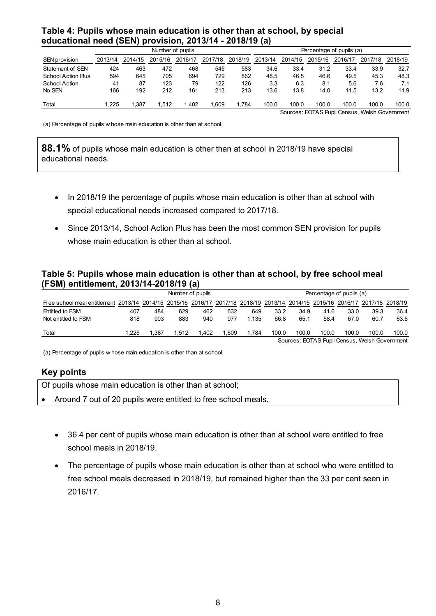#### <span id="page-7-0"></span>**Table 4: Pupils whose main education is other than at school, by special educational need (SEN) provision, 2013/14 - 2018/19 (a)**

|                           |         |         |         | Number of pupils |         | Percentage of pupils (a) |         |         |         |         |         |         |
|---------------------------|---------|---------|---------|------------------|---------|--------------------------|---------|---------|---------|---------|---------|---------|
| <b>SEN provision</b>      | 2013/14 | 2014/15 | 2015/16 | 2016/17          | 2017/18 | 2018/19                  | 2013/14 | 2014/15 | 2015/16 | 2016/17 | 2017/18 | 2018/19 |
| Statement of SEN          | 424     | 463     | 472     | 468              | 545     | 583                      | 34.6    | 33.4    | 31.2    | 33.4    | 33.9    | 32.7    |
| <b>School Action Plus</b> | 594     | 645     | 705     | 694              | 729     | 862                      | 48.5    | 46.5    | 46.6    | 49.5    | 45.3    | 48.3    |
| School Action             | 41      | 87      | 123     | 79               | 122     | 126                      | 3.3     | 6.3     | 8.1     | 5.6     | 7.6     | 7.1     |
| No SEN                    | 166     | 192     | 212     | 161              | 213     | 213                      | 13.6    | 13.8    | 14.0    | 11.5    | 13.2    | 11.9    |
| Total                     | .225    | .387    | .512    | 1.402            | .609    | .784                     | 100.0   | 100.0   | 100.0   | 100.0   | 100.0   | 100.0   |

Sources: EOTAS Pupil Census, Welsh Government

(a) Percentage of pupils w hose main education is other than at school.

**88.1%** of pupils whose main education is other than at school in 2018/19 have special educational needs.

- In 2018/19 the percentage of pupils whose main education is other than at school with special educational needs increased compared to 2017/18.
- Since 2013/14, School Action Plus has been the most common SEN provision for pupils whose main education is other than at school.

#### <span id="page-7-1"></span>**Table 5: Pupils whose main education is other than at school, by free school meal (FSM) entitlement, 2013/14-2018/19 (a)**

|                                                                                                                              |                 | Number of pupils |       |      |      |       |       |       | Percentage of pupils (a) |       |                                               |       |  |
|------------------------------------------------------------------------------------------------------------------------------|-----------------|------------------|-------|------|------|-------|-------|-------|--------------------------|-------|-----------------------------------------------|-------|--|
| Free school meal entitlement 2013/14 2014/15 2015/16 2016/17 2017/18 2018/19 2013/14 2014/15 2015/16 2016/17 2017/18 2018/19 |                 |                  |       |      |      |       |       |       |                          |       |                                               |       |  |
| Entitled to FSM                                                                                                              | 407             | 484              | 629   | 462  | 632  | 649   | 33.2  | 34.9  | 41.6                     | 33.0  | 39.3                                          | 36.4  |  |
| Not entitled to FSM                                                                                                          | 818             | 903              | 883   | 940  | 977  | 1.135 | 66.8  | 65.1  | 58.4                     | 67.0  | 60.7                                          | 63.6  |  |
| Total                                                                                                                        | $^{\circ}$ .225 | .387             | 1.512 | .402 | .609 | .784  | 100.0 | 100.0 | 100.0                    | 100.0 | 100.0                                         | 100.0 |  |
|                                                                                                                              |                 |                  |       |      |      |       |       |       |                          |       | Sources: EOTAS Pupil Census, Welsh Government |       |  |

(a) Percentage of pupils w hose main education is other than at school.

#### **Key points**

| Of pupils whose main education is other than at school;         |
|-----------------------------------------------------------------|
| • Around 7 out of 20 pupils were entitled to free school meals. |
|                                                                 |

- 36.4 per cent of pupils whose main education is other than at school were entitled to free school meals in 2018/19.
- The percentage of pupils whose main education is other than at school who were entitled to free school meals decreased in 2018/19, but remained higher than the 33 per cent seen in 2016/17.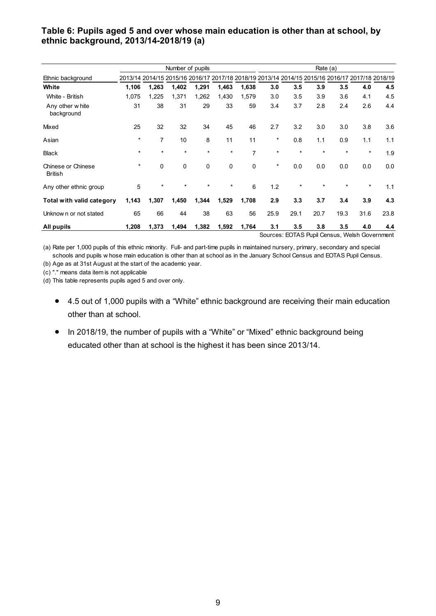#### <span id="page-8-0"></span>**Table 6: Pupils aged 5 and over whose main education is other than at school, by ethnic background, 2013/14-2018/19 (a)**

|                                      |         |                | Number of pupils |         |         |                |               |                      |                | Rate (a) |                                                                                                 |      |
|--------------------------------------|---------|----------------|------------------|---------|---------|----------------|---------------|----------------------|----------------|----------|-------------------------------------------------------------------------------------------------|------|
| Ethnic background                    |         |                |                  |         |         |                |               |                      |                |          | 2013/14 2014/15 2015/16 2016/17 2017/18 2018/19 2013/14 2014/15 2015/16 2016/17 2017/18 2018/19 |      |
| White                                | 1,106   | 1,263          | 1,402            | 1,291   | 1,463   | 1,638          | 3.0           | 3.5                  | 3.9            | 3.5      | 4.0                                                                                             | 4.5  |
| White - British                      | 1,075   | 1,225          | 1,371            | 1,262   | 1,430   | 1,579          | 3.0           | 3.5                  | 3.9            | 3.6      | 4.1                                                                                             | 4.5  |
| Any other white<br>background        | 31      | 38             | 31               | 29      | 33      | 59             | 3.4           | 3.7                  | 2.8            | 2.4      | 2.6                                                                                             | 4.4  |
| Mixed                                | 25      | 32             | 32               | 34      | 45      | 46             | 2.7           | 3.2                  | 3.0            | 3.0      | 3.8                                                                                             | 3.6  |
| Asian                                | $\ast$  | $\overline{7}$ | 10               | 8       | 11      | 11             | *             | 0.8                  | 1.1            | 0.9      | 1.1                                                                                             | 1.1  |
| <b>Black</b>                         | $\star$ | $\star$        | $\star$          | $\star$ | $\star$ | $\overline{7}$ | $\star$       | $\star$              | $\star$        | $\star$  | $\star$                                                                                         | 1.9  |
| Chinese or Chinese<br><b>British</b> | $\ast$  | 0              | 0                | 0       | 0       | $\mathbf 0$    | *             | 0.0                  | 0.0            | 0.0      | 0.0                                                                                             | 0.0  |
| Any other ethnic group               | 5       | $\star$        |                  | $\star$ | *       | 6              | 1.2           | $\ast$               | $\ast$         | $^\star$ | $\ast$                                                                                          | 1.1  |
| Total with valid category            | 1,143   | 1,307          | 1,450            | 1,344   | 1,529   | 1,708          | 2.9           | 3.3                  | 3.7            | 3.4      | 3.9                                                                                             | 4.3  |
| Unknow n or not stated               | 65      | 66             | 44               | 38      | 63      | 56             | 25.9          | 29.1                 | 20.7           | 19.3     | 31.6                                                                                            | 23.8 |
| All pupils                           | 1,208   | 1,373          | 1,494            | 1,382   | 1,592   | 1,764          | 3.1<br>$\sim$ | 3.5<br><b>COTACD</b> | 3.8<br>$-10-1$ | 3.5      | 4.0<br>$101 - 1 - 1$<br>$\sim$                                                                  | 4.4  |

Sources: EOTAS Pupil Census, Welsh Government

(a) Rate per 1,000 pupils of this ethnic minority. Full- and part-time pupils in maintained nursery, primary, secondary and special (a) Rate per 1,000 pupils of this ethnic minority. Full- and part-time pupils in maintained nursery, primary, secondary and special<br>schools and pupils w hose main education is other than at school as in the January School (b) Age as at 31st August at the start of the academic year.

(c) "." means data item is not applicable

(d) This table represents pupils aged 5 and over only.

- 4.5 out of 1,000 pupils with a "White" ethnic background are receiving their main education other than at school.
- In 2018/19, the number of pupils with a "White" or "Mixed" ethnic background being educated other than at school is the highest it has been since 2013/14.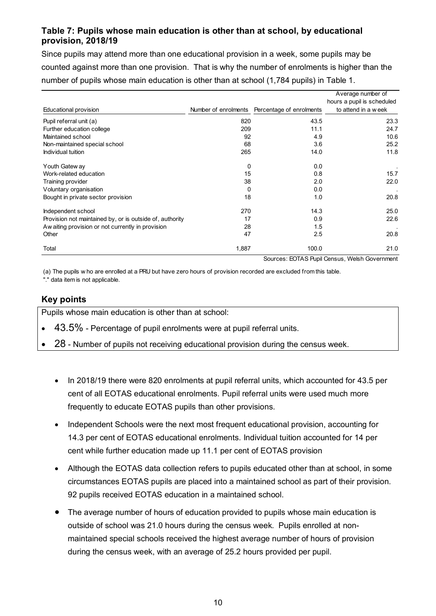## <span id="page-9-0"></span>**Table 7: Pupils whose main education is other than at school, by educational provision, 2018/19**

Since pupils may attend more than one educational provision in a week, some pupils may be counted against more than one provision. That is why the number of enrolments is higher than the

| number of pupils whose main education is other than at school (1,784 pupils) in Table 1. |       |                                               |                                                                        |
|------------------------------------------------------------------------------------------|-------|-----------------------------------------------|------------------------------------------------------------------------|
| Educational provision                                                                    |       | Number of enrolments Percentage of enrolments | Average number of<br>hours a pupil is scheduled<br>to attend in a week |
| Pupil referral unit (a)                                                                  | 820   | 43.5                                          | 23.3                                                                   |
| Further education college                                                                | 209   | 11.1                                          | 24.7                                                                   |
| Maintained school                                                                        | 92    | 4.9                                           | 10.6                                                                   |
| Non-maintained special school                                                            | 68    | 3.6                                           | 25.2                                                                   |
| Individual tuition                                                                       | 265   | 14.0                                          | 11.8                                                                   |
| Youth Gatew ay                                                                           | 0     | 0.0                                           |                                                                        |
| Work-related education                                                                   | 15    | 0.8                                           | 15.7                                                                   |
| Training provider                                                                        | 38    | 2.0                                           | 22.0                                                                   |
| Voluntary organisation                                                                   | 0     | 0.0                                           |                                                                        |
| Bought in private sector provision                                                       | 18    | 1.0                                           | 20.8                                                                   |
| Independent school                                                                       | 270   | 14.3                                          | 25.0                                                                   |
| Provision not maintained by, or is outside of, authority                                 | 17    | 0.9                                           | 22.6                                                                   |
| Aw aiting provision or not currently in provision                                        | 28    | 1.5                                           |                                                                        |
| Other                                                                                    | 47    | 2.5                                           | 20.8                                                                   |
| Total                                                                                    | 1,887 | 100.0                                         | 21.0                                                                   |

Sources: EOTAS Pupil Census, Welsh Government

(a) The pupils w ho are enrolled at a PRU but have zero hours of provision recorded are excluded from this table. "." data item is not applicable.

#### **Key points**

Pupils whose main education is other than at school:

- $\cdot$  43.5% Percentage of pupil enrolments were at pupil referral units.
- 28 Number of pupils not receiving educational provision during the census week.
	- In 2018/19 there were 820 enrolments at pupil referral units, which accounted for 43.5 per cent of all EOTAS educational enrolments. Pupil referral units were used much more frequently to educate EOTAS pupils than other provisions.
	- Independent Schools were the next most frequent educational provision, accounting for 14.3 per cent of EOTAS educational enrolments. Individual tuition accounted for 14 per cent while further education made up 11.1 per cent of EOTAS provision
	- Although the EOTAS data collection refers to pupils educated other than at school, in some circumstances EOTAS pupils are placed into a maintained school as part of their provision. 92 pupils received EOTAS education in a maintained school.
	- The average number of hours of education provided to pupils whose main education is outside of school was 21.0 hours during the census week. Pupils enrolled at nonmaintained special schools received the highest average number of hours of provision during the census week, with an average of 25.2 hours provided per pupil.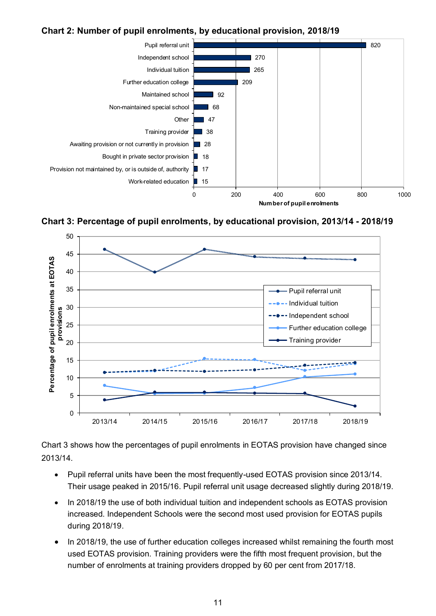#### <span id="page-10-1"></span>**Chart 2: Number of pupil enrolments, by educational provision, 2018/19**



<span id="page-10-2"></span>**Chart 3: Percentage of pupil enrolments, by educational provision, 2013/14 - 2018/19**



[Chart 3](#page-10-2) shows how the percentages of pupil enrolments in EOTAS provision have changed since 2013/14.

- Pupil referral units have been the most frequently-used EOTAS provision since 2013/14. Their usage peaked in 2015/16. Pupil referral unit usage decreased slightly during 2018/19.
- In 2018/19 the use of both individual tuition and independent schools as EOTAS provision increased. Independent Schools were the second most used provision for EOTAS pupils during 2018/19.
- <span id="page-10-0"></span> In 2018/19, the use of further education colleges increased whilst remaining the fourth most used EOTAS provision. Training providers were the fifth most frequent provision, but the number of enrolments at training providers dropped by 60 per cent from 2017/18.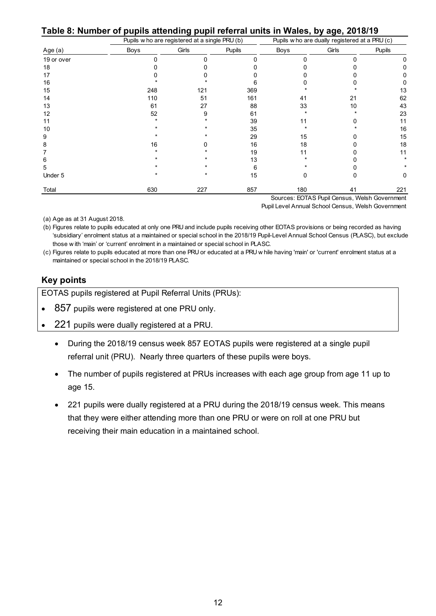**Table 8: Number of pupils attending pupil referral units in Wales, by age, 2018/19**

|            |      | Pupils w ho are registered at a single PRU (b) |               |             | Pupils w ho are dually registered at a PRU (c) |               |
|------------|------|------------------------------------------------|---------------|-------------|------------------------------------------------|---------------|
| Age (a)    | Boys | Girls                                          | <b>Pupils</b> | <b>Boys</b> | Girls                                          | <b>Pupils</b> |
| 19 or over | O    | n                                              | n             | n           |                                                |               |
| 18         |      |                                                |               |             |                                                |               |
| 17         |      |                                                |               |             |                                                |               |
| 16         |      |                                                |               |             |                                                |               |
| 15         | 248  | 121                                            | 369           |             |                                                | 13            |
| 14         | 110  | 51                                             | 161           | 41          | 21                                             | 62            |
| 13         | 61   | 27                                             | 88            | 33          | 10                                             | 43            |
| 12         | 52   | 9                                              | 61            |             |                                                | 23            |
| 11         |      |                                                | 39            | 11          |                                                | 11            |
| 10         |      |                                                | 35            |             |                                                | 16            |
| 9          |      |                                                | 29            | 15          |                                                | 15            |
| 8          | 16   |                                                | 16            | 18          |                                                | 18            |
|            |      |                                                | 19            |             |                                                | 11            |
| 6          |      |                                                | 13            |             |                                                |               |
| 5          |      |                                                |               |             |                                                |               |
| Under 5    |      |                                                | 15            |             |                                                | 0             |
| Total      | 630  | 227                                            | 857           | 180         | 41                                             | 221           |

Sources: EOTAS Pupil Census, Welsh Government Pupil Level Annual School Census, Welsh Government

(a) Age as at 31 August 2018.

(b) Figures relate to pupils educated at only one PRU and include pupils receiving other EOTAS provisions or being recorded as having (b) 'subsidiary' enrolment status at a maintained or special school in the 2018/19 Pupil-Level Annual School Census (PLASC), but exclude (a) Age as at 31 August 2018.<br>
(b) Figures relate to pupils educated at only one PRU and include pupils receiving othe<br>
'subsidiary' enrolment status at a maintained or special school in PLASC.<br>
those w ith 'main' or 'curr (b) Figures relate to pupils educated at only one PRU and include pupils receiving other EOTAS provisions or being recorded as having 'subsidiary' enrolment status at a maintained or special school in the 2018/19 Pupil-Lev

maintained or special school in the 2018/19 PLASC.

#### **Key points**

EOTAS pupils registered at Pupil Referral Units (PRUs):

- 857 pupils were registered at one PRU only.
- 221 pupils were dually registered at a PRU.
	- During the 2018/19 census week 857 EOTAS pupils were registered at a single pupil referral unit (PRU). Nearly three quarters of these pupils were boys.
	- The number of pupils registered at PRUs increases with each age group from age 11 up to age 15.
	- 221 pupils were dually registered at a PRU during the 2018/19 census week. This means that they were either attending more than one PRU or were on roll at one PRU but receiving their main education in a maintained school.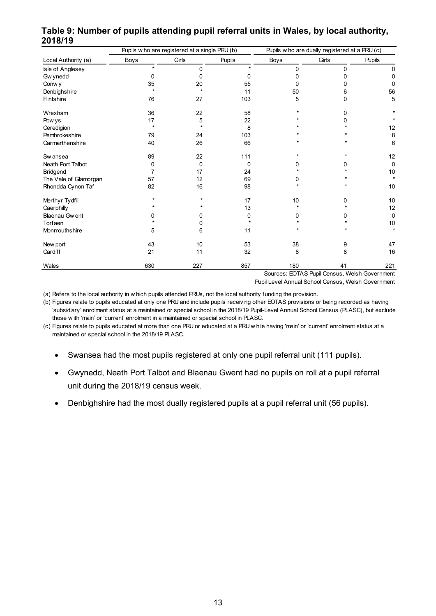|                                                                                                                                       |      | Pupils w ho are registered at a single PRU (b) |               | Pupils w ho are dually registered at a PRU (c)     |                                               |               |  |  |  |
|---------------------------------------------------------------------------------------------------------------------------------------|------|------------------------------------------------|---------------|----------------------------------------------------|-----------------------------------------------|---------------|--|--|--|
| Local Authority (a)                                                                                                                   | Boys | Girls                                          | <b>Pupils</b> | Boys                                               | Girls                                         | <b>Pupils</b> |  |  |  |
| Isle of Anglesey                                                                                                                      | ٠    | 0                                              |               | 0                                                  | 0                                             | 0             |  |  |  |
| Gw ynedd                                                                                                                              | 0    | 0                                              | 0             | $\Omega$                                           | 0                                             | 0             |  |  |  |
| Conw y                                                                                                                                | 35   | 20                                             | 55            | 0                                                  | n                                             | 0             |  |  |  |
| Denbighshire                                                                                                                          |      |                                                | 11            | 50                                                 | 6                                             | 56            |  |  |  |
| Flintshire                                                                                                                            | 76   | 27                                             | 103           | 5                                                  | 0                                             | 5             |  |  |  |
| Wrexham                                                                                                                               | 36   | 22                                             | 58            |                                                    | 0                                             |               |  |  |  |
| Pow ys                                                                                                                                | 17   | 5                                              | 22            |                                                    |                                               |               |  |  |  |
| Ceredigion                                                                                                                            |      |                                                | 8             |                                                    |                                               | 12            |  |  |  |
| Pembrokeshire                                                                                                                         | 79   | 24                                             | 103           |                                                    |                                               | 8             |  |  |  |
| Carmarthenshire                                                                                                                       | 40   | 26                                             | 66            |                                                    |                                               | 6             |  |  |  |
| Sw ansea                                                                                                                              | 89   | 22                                             | 111           |                                                    |                                               | 12            |  |  |  |
| <b>Neath Port Talbot</b>                                                                                                              | 0    | 0                                              | 0             | 0                                                  | 0                                             | $\mathbf 0$   |  |  |  |
| Bridgend                                                                                                                              | 7    | 17                                             | 24            |                                                    |                                               | 10            |  |  |  |
| The Vale of Glamorgan                                                                                                                 | 57   | 12                                             | 69            | 0                                                  |                                               | $\star$       |  |  |  |
| Rhondda Cynon Taf                                                                                                                     | 82   | 16                                             | 98            |                                                    |                                               | 10            |  |  |  |
| Merthyr Tydfil                                                                                                                        |      |                                                | 17            | 10                                                 | 0                                             | 10            |  |  |  |
| Caerphilly                                                                                                                            |      |                                                | 13            |                                                    |                                               | 12            |  |  |  |
| Blaenau Gw ent                                                                                                                        |      | 0                                              | 0             | 0                                                  | 0                                             | $\mathsf 0$   |  |  |  |
| Torfaen                                                                                                                               |      | 0                                              |               |                                                    |                                               | 10            |  |  |  |
| Monmouthshire                                                                                                                         | 5    | 6                                              | 11            |                                                    |                                               | $\star$       |  |  |  |
| New port                                                                                                                              | 43   | 10                                             | 53            | 38                                                 | 9                                             | 47            |  |  |  |
| Cardiff                                                                                                                               | 21   | 11                                             | 32            | 8                                                  | 8                                             | 16            |  |  |  |
| Wales                                                                                                                                 | 630  | 227                                            | 857           | 180                                                | 41                                            | 221           |  |  |  |
|                                                                                                                                       |      |                                                |               |                                                    | Sources: EOTAS Pupil Census, Welsh Government |               |  |  |  |
|                                                                                                                                       |      |                                                |               | Pupil Level Annual School Census, Welsh Government |                                               |               |  |  |  |
| (a) Refers to the local authority in w hich pupils attended PRUs, not the local authority funding the provision.                      |      |                                                |               |                                                    |                                               |               |  |  |  |
| (b) Figures relate to pupils educated at only one PRU and include pupils receiving other FOTAS provisions or being recorded as having |      |                                                |               |                                                    |                                               |               |  |  |  |

# <span id="page-12-0"></span>**Table 9: Number of pupils attending pupil referral units in Wales, by local authority, 2018/19 pupils attending pupil referral units in Wales, by local authorit**<br>Pupils w ho are registered at a single PRU (b) Pupils who are dually registered at a PRU (c)

(b) Figures relate to pupils educated at only one PRU and include pupils receiving other EOTAS provisions or being recorded as having<br>
"subsidiary' enrolment status at a maintained or special school in the 2018/19 Pupil-Le (b) 'subsidiary' enrolment status at a maintained or special school in the 2018/19 Pupil-Level Annual School Census (PLASC), but exclude (a) Refers to the local authority in w hich pupils attended PRUs, not the local authority (b) Figures relate to pupils educated at only one PRU and include pupils receiving othe 'subsidiary' enrolment status at a maintaine

maintained or special school in the 2018/19 PLASC.

- Swansea had the most pupils registered at only one pupil referral unit (111 pupils).
- Gwynedd, Neath Port Talbot and Blaenau Gwent had no pupils on roll at a pupil referral unit during the 2018/19 census week.
- Denbighshire had the most dually registered pupils at a pupil referral unit (56 pupils).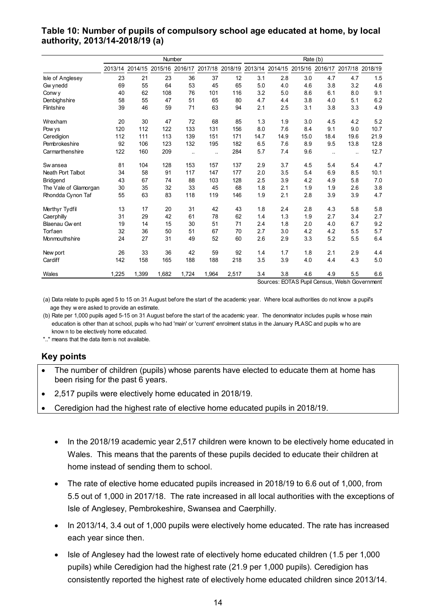#### <span id="page-13-0"></span>**Table 10: Number of pupils of compulsory school age educated at home, by local authority, 2013/14-2018/19 (a)**

|                       | Number  |         |         |         | Rate (b)  |         |               |         |                        |                      |                         |      |
|-----------------------|---------|---------|---------|---------|-----------|---------|---------------|---------|------------------------|----------------------|-------------------------|------|
|                       | 2013/14 | 2014/15 | 2015/16 | 2016/17 | 2017/18   | 2018/19 | 2013/14       | 2014/15 | 2015/16                |                      | 2016/17 2017/18 2018/19 |      |
| Isle of Anglesey      | 23      | 21      | 23      | 36      | 37        | 12      | 3.1           | 2.8     | 3.0                    | 4.7                  | 4.7                     | 1.5  |
| Gw ynedd              | 69      | 55      | 64      | 53      | 45        | 65      | 5.0           | 4.0     | 4.6                    | 3.8                  | 3.2                     | 4.6  |
| Conw y                | 40      | 62      | 108     | 76      | 101       | 116     | 3.2           | 5.0     | 8.6                    | 6.1                  | 8.0                     | 9.1  |
| Denbighshire          | 58      | 55      | 47      | 51      | 65        | 80      | 4.7           | 4.4     | 3.8                    | 4.0                  | 5.1                     | 6.2  |
| Flintshire            | 39      | 46      | 59      | 71      | 63        | 94      | 2.1           | 2.5     | 3.1                    | 3.8                  | 3.3                     | 4.9  |
| Wrexham               | 20      | 30      | 47      | 72      | 68        | 85      | 1.3           | 1.9     | 3.0                    | 4.5                  | 4.2                     | 5.2  |
| Pow ys                | 120     | 112     | 122     | 133     | 131       | 156     | 8.0           | 7.6     | 8.4                    | 9.1                  | 9.0                     | 10.7 |
| Ceredigion            | 112     | 111     | 113     | 139     | 151       | 171     | 14.7          | 14.9    | 15.0                   | 18.4                 | 19.6                    | 21.9 |
| Pembrokeshire         | 92      | 106     | 123     | 132     | 195       | 182     | 6.5           | 7.6     | 8.9                    | 9.5                  | 13.8                    | 12.8 |
| Carmarthenshire       | 122     | 160     | 209     | ä.      | $\ddotsc$ | 284     | 5.7           | 7.4     | 9.6                    | $\ddot{\phantom{a}}$ | $\ddotsc$               | 12.7 |
| Sw ansea              | 81      | 104     | 128     | 153     | 157       | 137     | 2.9           | 3.7     | 4.5                    | 5.4                  | 5.4                     | 4.7  |
| Neath Port Talbot     | 34      | 58      | 91      | 117     | 147       | 177     | 2.0           | 3.5     | 5.4                    | 6.9                  | 8.5                     | 10.1 |
| Bridgend              | 43      | 67      | 74      | 88      | 103       | 128     | 2.5           | 3.9     | 4.2                    | 4.9                  | 5.8                     | 7.0  |
| The Vale of Glamorgan | 30      | 35      | 32      | 33      | 45        | 68      | 1.8           | 2.1     | 1.9                    | 1.9                  | 2.6                     | 3.8  |
| Rhondda Cynon Taf     | 55      | 63      | 83      | 118     | 119       | 146     | 1.9           | 2.1     | 2.8                    | 3.9                  | 3.9                     | 4.7  |
| Merthyr Tydfil        | 13      | 17      | 20      | 31      | 42        | 43      | 1.8           | 2.4     | 2.8                    | 4.3                  | 5.8                     | 5.8  |
| Caerphilly            | 31      | 29      | 42      | 61      | 78        | 62      | 1.4           | 1.3     | 1.9                    | 2.7                  | 3.4                     | 2.7  |
| Blaenau Gw ent        | 19      | 14      | 15      | 30      | 51        | 71      | 2.4           | 1.8     | 2.0                    | 4.0                  | 6.7                     | 9.2  |
| Torfaen               | 32      | 36      | 50      | 51      | 67        | 70      | 2.7           | 3.0     | 4.2                    | 4.2                  | 5.5                     | 5.7  |
| Monmouthshire         | 24      | 27      | 31      | 49      | 52        | 60      | 2.6           | 2.9     | 3.3                    | 5.2                  | 5.5                     | 6.4  |
| New port              | 26      | 33      | 36      | 42      | 59        | 92      | 1.4           | 1.7     | 1.8                    | 2.1                  | 2.9                     | 4.4  |
| Cardiff               | 142     | 158     | 165     | 188     | 188       | 218     | 3.5           | 3.9     | 4.0                    | 4.4                  | 4.3                     | 5.0  |
| Wales                 | 1,225   | 1,399   | 1,682   | 1,724   | 1,964     | 2,517   | 3.4<br>$\sim$ | 3.8     | 4.6<br>$T^*$<br>$\sim$ | 4.9                  | 5.5<br>$\cdots$         | 6.6  |

Sources: EOTAS Pupil Census, Welsh Government

Vales 1,225 1,399 1,682 1,724 1,964 2,517 3.4 3.8 4.6 4.9 5.5<br>Sources: EOTAS Pupil Census, Welsh Governn<br>(a) Data relate to pupils aged 5 to 15 on 31 August before the start of the academic year. Where local authorities do (a) Data relate to pupils aged 5 to 15 on 31 Aug age they w ere asked to provide an estimate.<br>(b) Rate per 1,000 pupils aged 5-15 on 31 August (a) Data relate to pupils aged 5 to 15 on 31 August before the start of the academic year. Where local authorities do not know a pupil's age they were asked to provide an estimate.<br>(b) Rate per 1,000 pupils aged 5-15 on 31

(a) Data relate to pupils aged 5 to 15 on 31 August before the start of the academic year. Where local authorities do not know a page they w ere asked to provide an estimate.<br>(b) Rate per 1,000 pupils aged 5-15 on 31 Augus age they were asked to provide an estimate.<br>
(b) Rate per 1,000 pupils aged 5-15 on 31 August before the start of the academic year. The denominator includes pupils whose main education is other than at school, pupils who

".." means that the data item is not available.

#### **Key points**

- The number of children (pupils) whose parents have elected to educate them at home has been rising for the past 6 years.
- 2,517 pupils were electively home educated in 2018/19.
- Ceredigion had the highest rate of elective home educated pupils in 2018/19.
	- In the 2018/19 academic year 2,517 children were known to be electively home educated in Wales. This means that the parents of these pupils decided to educate their children at home instead of sending them to school.
	- The rate of elective home educated pupils increased in 2018/19 to 6.6 out of 1,000, from 5.5 out of 1,000 in 2017/18. The rate increased in all local authorities with the exceptions of Isle of Anglesey, Pembrokeshire, Swansea and Caerphilly.
	- In 2013/14, 3.4 out of 1,000 pupils were electively home educated. The rate has increased each year since then.
	- Isle of Anglesey had the lowest rate of electively home educated children (1.5 per 1,000 pupils) while Ceredigion had the highest rate (21.9 per 1,000 pupils). Ceredigion has consistently reported the highest rate of electively home educated children since 2013/14.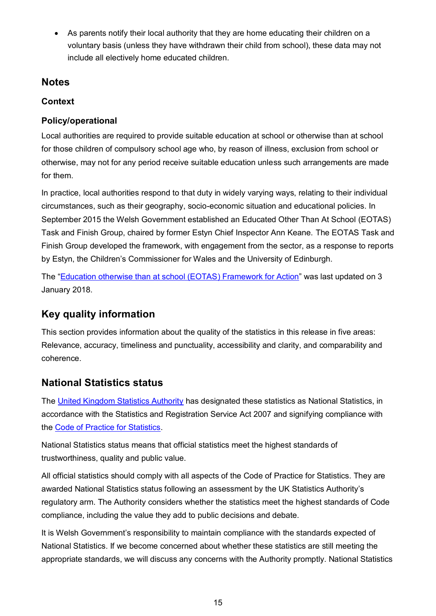As parents notify their local authority that they are home educating their children on a voluntary basis (unless they have withdrawn their child from school), these data may not include all electively home educated children.

## <span id="page-14-0"></span>**Notes**

## **Context**

## **Policy/operational**

Local authorities are required to provide suitable education at school or otherwise than at school for those children of compulsory school age who, by reason of illness, exclusion from school or otherwise, may not for any period receive suitable education unless such arrangements are made for them.

In practice, local authorities respond to that duty in widely varying ways, relating to their individual circumstances, such as their geography, socio-economic situation and educational policies. In September 2015 the Welsh Government established an Educated Other Than At School (EOTAS) Task and Finish Group, chaired by former Estyn Chief Inspector Ann Keane. The EOTAS Task and Finish Group developed the framework, with engagement from the sector, as a response to reports by Estyn, the Children's Commissioner for Wales and the University of Edinburgh.

The "[Education otherwise than at school \(EOTAS\) Framework](https://gov.wales/education-otherwise-school-eotas-framework-action) for Action" was last updated on 3 January 2018.

# **Key quality information**

This section provides information about the quality of the statistics in this release in five areas: Relevance, accuracy, timeliness and punctuality, accessibility and clarity, and comparability and coherence.

## **National Statistics status**

The [United Kingdom Statistics Authority](https://www.statisticsauthority.gov.uk/) has designated these statistics as National Statistics, in accordance with the Statistics and Registration Service Act 2007 and signifying compliance with the [Code of Practice for Statistics.](https://www.statisticsauthority.gov.uk/monitoring-and-assessment/code-of-practice/)

National Statistics status means that official statistics meet the highest standards of trustworthiness, quality and public value.

All official statistics should comply with all aspects of the Code of Practice for Statistics. They are awarded National Statistics status following an assessment by the UK Statistics Authority's regulatory arm. The Authority considers whether the statistics meet the highest standards of Code compliance, including the value they add to public decisions and debate.

It is Welsh Government's responsibility to maintain compliance with the standards expected of National Statistics. If we become concerned about whether these statistics are still meeting the appropriate standards, we will discuss any concerns with the Authority promptly. National Statistics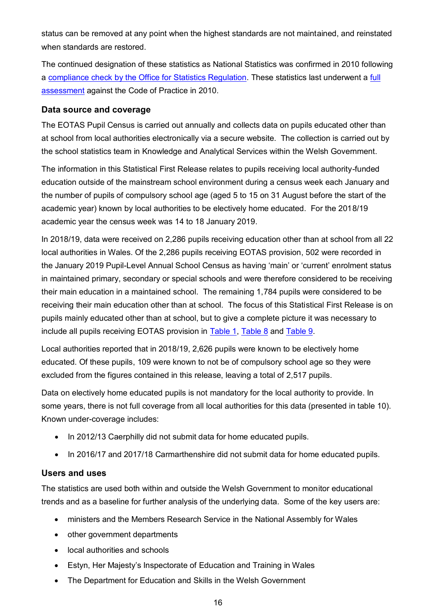status can be removed at any point when the highest standards are not maintained, and reinstated when standards are restored.

The continued designation of these statistics as National Statistics was confirmed in 2010 following a [compliance check by the Office for Statistics Regulation.](https://www.statisticsauthority.gov.uk/publication/schools-for-wales/) These statistics last underwent a [full](https://www.statisticsauthority.gov.uk/publication/schools-for-wales/)  [assessment](https://www.statisticsauthority.gov.uk/publication/schools-for-wales/) against the Code of Practice in 2010.

#### **Data source and coverage**

The EOTAS Pupil Census is carried out annually and collects data on pupils educated other than at school from local authorities electronically via a secure website. The collection is carried out by the school statistics team in Knowledge and Analytical Services within the Welsh Government.

The information in this Statistical First Release relates to pupils receiving local authority-funded education outside of the mainstream school environment during a census week each January and the number of pupils of compulsory school age (aged 5 to 15 on 31 August before the start of the academic year) known by local authorities to be electively home educated. For the 2018/19 academic year the census week was 14 to 18 January 2019.

In 2018/19, data were received on 2,286 pupils receiving education other than at school from all 22 local authorities in Wales. Of the 2,286 pupils receiving EOTAS provision, 502 were recorded in the January 2019 Pupil-Level Annual School Census as having 'main' or 'current' enrolment status in maintained primary, secondary or special schools and were therefore considered to be receiving their main education in a maintained school. The remaining 1,784 pupils were considered to be receiving their main education other than at school. The focus of this Statistical First Release is on pupils mainly educated other than at school, but to give a complete picture it was necessary to include all pupils receiving EOTAS provision in Table 1, [Table 8](#page-10-0) and [Table 9.](#page-12-0)

Local authorities reported that in 2018/19, 2,626 pupils were known to be electively home educated. Of these pupils, 109 were known to not be of compulsory school age so they were excluded from the figures contained in this release, leaving a total of 2,517 pupils.

Data on electively home educated pupils is not mandatory for the local authority to provide. In some years, there is not full coverage from all local authorities for this data (presented in table 10). Known under-coverage includes:

- In 2012/13 Caerphilly did not submit data for home educated pupils.
- In 2016/17 and 2017/18 Carmarthenshire did not submit data for home educated pupils.

#### **Users and uses**

The statistics are used both within and outside the Welsh Government to monitor educational trends and as a baseline for further analysis of the underlying data. Some of the key users are:

- ministers and the Members Research Service in the National Assembly for Wales
- other government departments
- local authorities and schools
- Estyn, Her Majesty's Inspectorate of Education and Training in Wales
- The Department for Education and Skills in the Welsh Government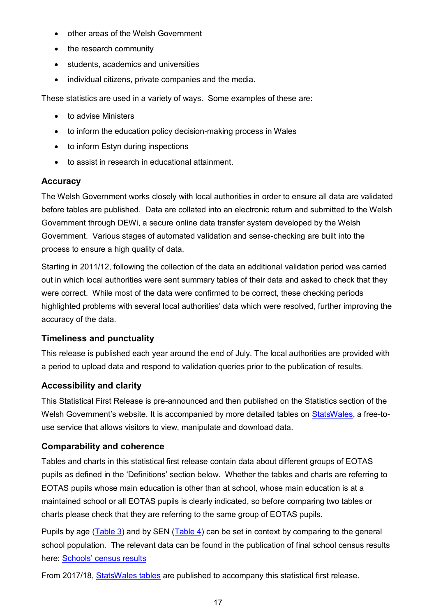- other areas of the Welsh Government
- the research community
- students, academics and universities
- individual citizens, private companies and the media.

These statistics are used in a variety of ways. Some examples of these are:

- to advise Ministers
- to inform the education policy decision-making process in Wales
- to inform Estyn during inspections
- to assist in research in educational attainment.

#### **Accuracy**

The Welsh Government works closely with local authorities in order to ensure all data are validated before tables are published. Data are collated into an electronic return and submitted to the Welsh Government through DEWi, a secure online data transfer system developed by the Welsh Government. Various stages of automated validation and sense-checking are built into the process to ensure a high quality of data.

Starting in 2011/12, following the collection of the data an additional validation period was carried out in which local authorities were sent summary tables of their data and asked to check that they were correct. While most of the data were confirmed to be correct, these checking periods highlighted problems with several local authorities' data which were resolved, further improving the accuracy of the data.

#### **Timeliness and punctuality**

This release is published each year around the end of July. The local authorities are provided with a period to upload data and respond to validation queries prior to the publication of results.

#### **Accessibility and clarity**

This Statistical First Release is pre-announced and then published on the Statistics section of the Welsh Government's website. It is accompanied by more detailed tables on [StatsWales,](https://statswales.gov.wales/Catalogue/Education-and-Skills/Schools-and-Teachers/Educated-Other-Than-At-School) a free-touse service that allows visitors to view, manipulate and download data.

#### **Comparability and coherence**

Tables and charts in this statistical first release contain data about different groups of EOTAS pupils as defined in the 'Definitions' section below. Whether the tables and charts are referring to EOTAS pupils whose main education is other than at school, whose main education is at a maintained school or all EOTAS pupils is clearly indicated, so before comparing two tables or charts please check that they are referring to the same group of EOTAS pupils.

Pupils by age [\(Table 3\)](#page-6-0) and by SEN [\(Table 4\)](#page-7-0) can be set in context by comparing to the general school population. The relevant data can be found in the publication of final school census results here: Schools' [census results](https://gov.wales/schools-census-results)

From 2017/18, [StatsWales tables](https://statswales.gov.wales/Catalogue/Education-and-Skills/Schools-and-Teachers/Educated-Other-Than-At-School) are published to accompany this statistical first release.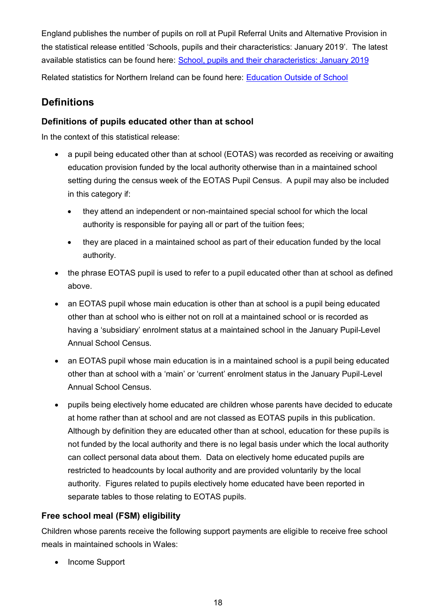England publishes the number of pupils on roll at Pupil Referral Units and Alternative Provision in the statistical release entitled 'Schools, pupils and their characteristics: January 2019'. The latest available statistics can be found here: [School, pupils and their characteristics: January 2019](https://www.gov.uk/government/statistics/schools-pupils-and-their-characteristics-january-2019)

Related statistics for Northern Ireland can be found here: [Education Outside of School](https://www.education-ni.gov.uk/articles/education-outside-school)

## **Definitions**

## **Definitions of pupils educated other than at school**

In the context of this statistical release:

- a pupil being educated other than at school (EOTAS) was recorded as receiving or awaiting education provision funded by the local authority otherwise than in a maintained school setting during the census week of the EOTAS Pupil Census. A pupil may also be included in this category if:
	- they attend an independent or non-maintained special school for which the local authority is responsible for paying all or part of the tuition fees;
	- they are placed in a maintained school as part of their education funded by the local authority.
- the phrase EOTAS pupil is used to refer to a pupil educated other than at school as defined above.
- an EOTAS pupil whose main education is other than at school is a pupil being educated other than at school who is either not on roll at a maintained school or is recorded as having a 'subsidiary' enrolment status at a maintained school in the January Pupil-Level Annual School Census.
- an EOTAS pupil whose main education is in a maintained school is a pupil being educated other than at school with a 'main' or 'current' enrolment status in the January Pupil-Level Annual School Census.
- pupils being electively home educated are children whose parents have decided to educate at home rather than at school and are not classed as EOTAS pupils in this publication. Although by definition they are educated other than at school, education for these pupils is not funded by the local authority and there is no legal basis under which the local authority can collect personal data about them. Data on electively home educated pupils are restricted to headcounts by local authority and are provided voluntarily by the local authority. Figures related to pupils electively home educated have been reported in separate tables to those relating to EOTAS pupils.

## **Free school meal (FSM) eligibility**

Children whose parents receive the following support payments are eligible to receive free school meals in maintained schools in Wales:

• Income Support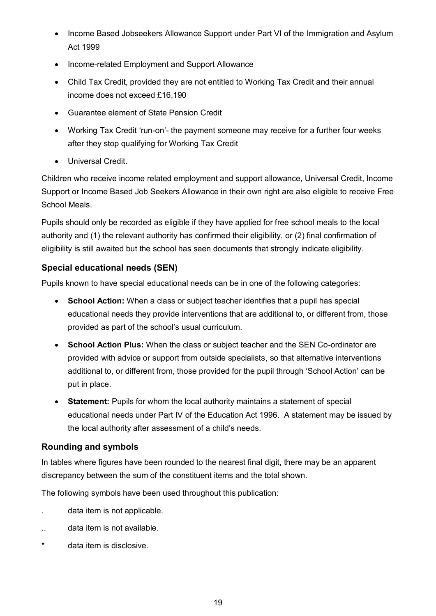- Income Based Jobseekers Allowance Support under Part VI of the Immigration and Asylum Act 1999
- Income-related Employment and Support Allowance
- Child Tax Credit, provided they are not entitled to Working Tax Credit and their annual income does not exceed £16,190
- Guarantee element of State Pension Credit
- Working Tax Credit 'run-on'- the payment someone may receive for a further four weeks after they stop qualifying for Working Tax Credit
- Universal Credit.

Children who receive income related employment and support allowance, Universal Credit, Income Support or Income Based Job Seekers Allowance in their own right are also eligible to receive Free School Meals.

Pupils should only be recorded as eligible if they have applied for free school meals to the local authority and (1) the relevant authority has confirmed their eligibility, or (2) final confirmation of eligibility is still awaited but the school has seen documents that strongly indicate eligibility.

## **Special educational needs (SEN)**

Pupils known to have special educational needs can be in one of the following categories:

- **School Action:** When a class or subject teacher identifies that a pupil has special educational needs they provide interventions that are additional to, or different from, those provided as part of the school's usual curriculum.
- **School Action Plus:** When the class or subject teacher and the SEN Co-ordinator are provided with advice or support from outside specialists, so that alternative interventions additional to, or different from, those provided for the pupil through 'School Action' can be put in place.
- **Statement:** Pupils for whom the local authority maintains a statement of special educational needs under Part IV of the Education Act 1996. A statement may be issued by the local authority after assessment of a child's needs.

## **Rounding and symbols**

In tables where figures have been rounded to the nearest final digit, there may be an apparent discrepancy between the sum of the constituent items and the total shown.

The following symbols have been used throughout this publication:

- . data item is not applicable.
- .. data item is not available.
- data item is disclosive.